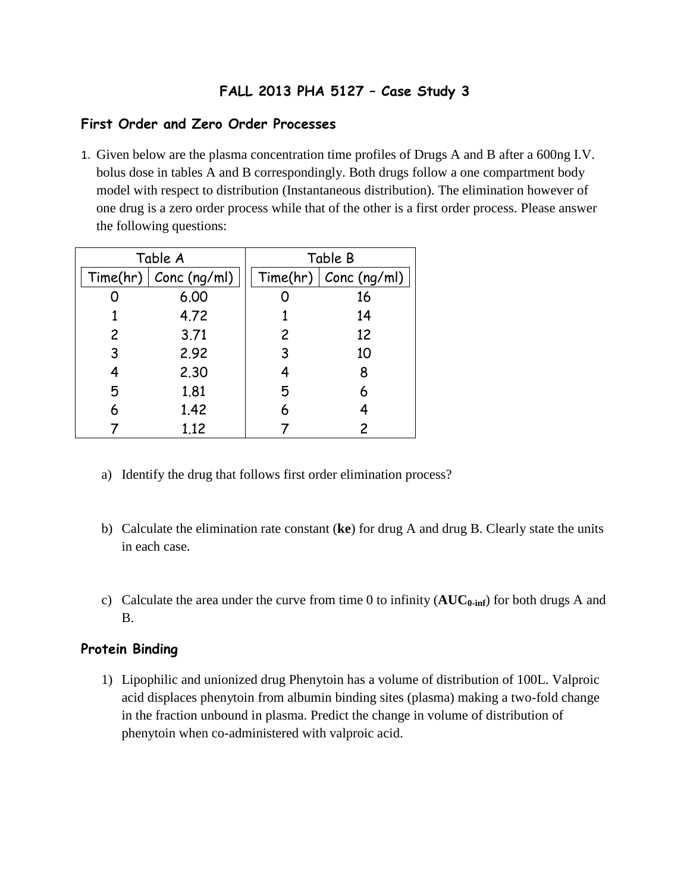## **FALL 2013 PHA 5127 – Case Study 3**

## **First Order and Zero Order Processes**

1. Given below are the plasma concentration time profiles of Drugs A and B after a 600ng I.V. bolus dose in tables A and B correspondingly. Both drugs follow a one compartment body model with respect to distribution (Instantaneous distribution). The elimination however of one drug is a zero order process while that of the other is a first order process. Please answer the following questions:

| Table A |                         | Table B |                         |
|---------|-------------------------|---------|-------------------------|
|         | Time/hr)   Conc (ng/ml) |         | Time(hr)   Conc (ng/ml) |
|         | 6.00                    |         | 16                      |
|         | 4.72                    |         | 14                      |
| 2       | 3.71                    | 2       | 12                      |
| 3       | 2.92                    | 3       | 10                      |
| 4       | 2.30                    | 4       | 8                       |
| 5       | 1.81                    | 5       | 6                       |
| 6       | 1.42                    | 6       |                         |
|         | 1.12                    |         | 2                       |

- a) Identify the drug that follows first order elimination process?
- b) Calculate the elimination rate constant (**ke**) for drug A and drug B. Clearly state the units in each case.
- c) Calculate the area under the curve from time 0 to infinity (**AUC0-inf**) for both drugs A and B.

## **Protein Binding**

1) Lipophilic and unionized drug Phenytoin has a volume of distribution of 100L. Valproic acid displaces phenytoin from albumin binding sites (plasma) making a two-fold change in the fraction unbound in plasma. Predict the change in volume of distribution of phenytoin when co-administered with valproic acid.